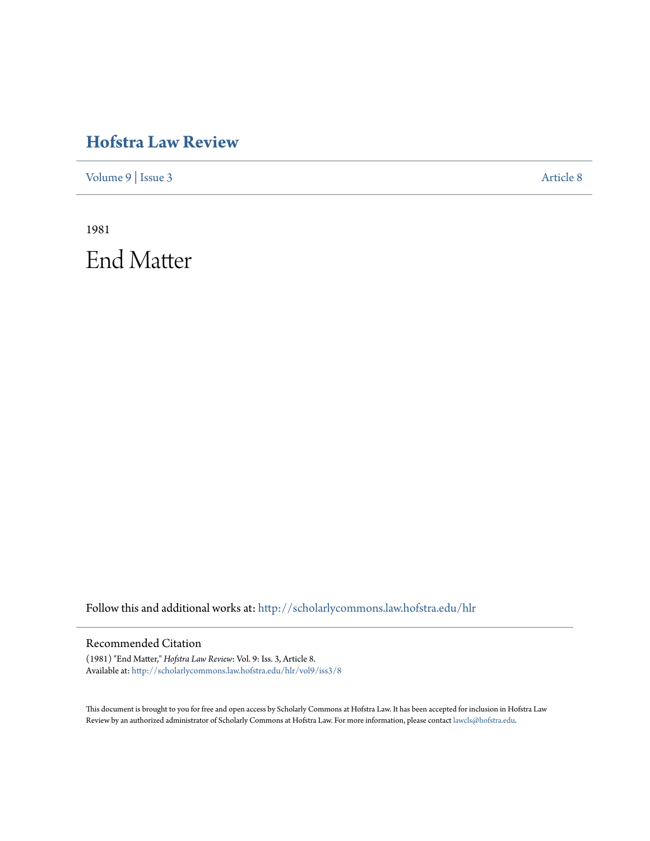### **[Hofstra Law Review](http://scholarlycommons.law.hofstra.edu/hlr?utm_source=scholarlycommons.law.hofstra.edu%2Fhlr%2Fvol9%2Fiss3%2F8&utm_medium=PDF&utm_campaign=PDFCoverPages)**

[Volume 9](http://scholarlycommons.law.hofstra.edu/hlr/vol9?utm_source=scholarlycommons.law.hofstra.edu%2Fhlr%2Fvol9%2Fiss3%2F8&utm_medium=PDF&utm_campaign=PDFCoverPages) | [Issue 3](http://scholarlycommons.law.hofstra.edu/hlr/vol9/iss3?utm_source=scholarlycommons.law.hofstra.edu%2Fhlr%2Fvol9%2Fiss3%2F8&utm_medium=PDF&utm_campaign=PDFCoverPages) [Article 8](http://scholarlycommons.law.hofstra.edu/hlr/vol9/iss3/8?utm_source=scholarlycommons.law.hofstra.edu%2Fhlr%2Fvol9%2Fiss3%2F8&utm_medium=PDF&utm_campaign=PDFCoverPages)

1981 End Matter

Follow this and additional works at: [http://scholarlycommons.law.hofstra.edu/hlr](http://scholarlycommons.law.hofstra.edu/hlr?utm_source=scholarlycommons.law.hofstra.edu%2Fhlr%2Fvol9%2Fiss3%2F8&utm_medium=PDF&utm_campaign=PDFCoverPages)

#### Recommended Citation

(1981) "End Matter," *Hofstra Law Review*: Vol. 9: Iss. 3, Article 8. Available at: [http://scholarlycommons.law.hofstra.edu/hlr/vol9/iss3/8](http://scholarlycommons.law.hofstra.edu/hlr/vol9/iss3/8?utm_source=scholarlycommons.law.hofstra.edu%2Fhlr%2Fvol9%2Fiss3%2F8&utm_medium=PDF&utm_campaign=PDFCoverPages)

This document is brought to you for free and open access by Scholarly Commons at Hofstra Law. It has been accepted for inclusion in Hofstra Law Review by an authorized administrator of Scholarly Commons at Hofstra Law. For more information, please contact [lawcls@hofstra.edu](mailto:lawcls@hofstra.edu).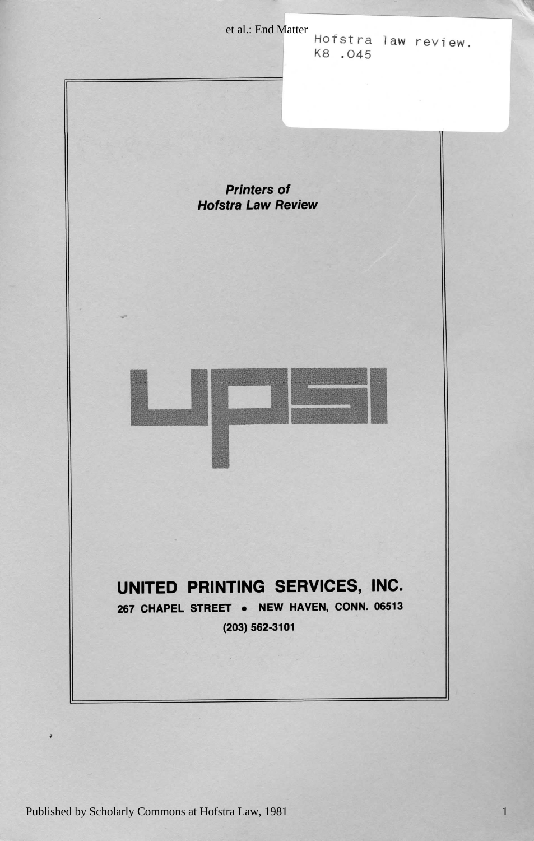et al.: End Matter<br>  $H$ ofstra law review. K8.045

**Printers of Hofstra Law Review** 



#### UNITED PRINTING SERVICES, INC.

267 CHAPEL STREET . NEW HAVEN, CONN. 06513

Review Law Hofstra